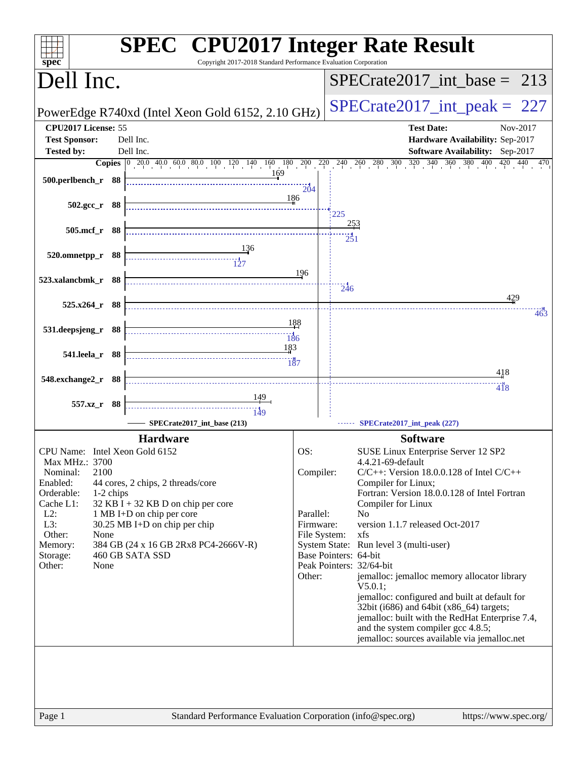| Dell Inc.<br>PowerEdge R740xd (Intel Xeon Gold 6152, 2.10 GHz)<br>CPU2017 License: 55<br><b>Test Date:</b><br><b>Test Sponsor:</b><br>Dell Inc.<br><b>Tested by:</b><br>Dell Inc.<br>169<br>$500.$ perlbench_r 88<br>204<br>186<br>502.gcc_r 88<br>225<br><u>253</u><br>505.mcf_r 88<br>$\frac{1}{251}$<br>$\frac{136}{127}$<br>$520.0$ mnetpp_r 88<br>196<br>523.xalancbmk_r 88<br>246<br>429<br>$525.x264_r$ 88<br>188<br>531.deepsjeng_r 88<br>$\overline{186}$<br>183<br>541.leela_r 88<br>$\frac{187}{187}$<br>418<br>548.exchange2_r 88<br>418<br>557.xz_r 88<br>-------------------------------------<br>749<br>SPECrate2017_int_base (213)<br>SPECrate2017_int_peak (227)<br><b>Hardware</b><br><b>Software</b><br>OS:<br>CPU Name: Intel Xeon Gold 6152<br>SUSE Linux Enterprise Server 12 SP2<br>Max MHz.: 3700<br>4.4.21-69-default<br>2100<br>Compiler:<br>$C/C++$ : Version 18.0.0.128 of Intel $C/C++$<br>Nominal:<br>Enabled:<br>44 cores, 2 chips, 2 threads/core<br>Compiler for Linux;<br>Fortran: Version 18.0.0.128 of Intel Fortran<br>Orderable:<br>1-2 chips<br>32 KB I + 32 KB D on chip per core<br>Cache L1:<br>Compiler for Linux<br>$L2$ :<br>1 MB I+D on chip per core<br>Parallel:<br>N <sub>o</sub><br>L3:<br>version 1.1.7 released Oct-2017<br>30.25 MB I+D on chip per chip<br>Firmware:<br>Other:<br>None<br>File System:<br>xfs<br>Memory:<br>384 GB (24 x 16 GB 2Rx8 PC4-2666V-R)<br>System State: Run level 3 (multi-user)<br>460 GB SATA SSD<br>Base Pointers: 64-bit<br>Storage: | Copyright 2017-2018 Standard Performance Evaluation Corporation<br>$spec^*$ | <b>SPEC<sup>®</sup></b> CPU2017 Integer Rate Result                            |
|--------------------------------------------------------------------------------------------------------------------------------------------------------------------------------------------------------------------------------------------------------------------------------------------------------------------------------------------------------------------------------------------------------------------------------------------------------------------------------------------------------------------------------------------------------------------------------------------------------------------------------------------------------------------------------------------------------------------------------------------------------------------------------------------------------------------------------------------------------------------------------------------------------------------------------------------------------------------------------------------------------------------------------------------------------------------------------------------------------------------------------------------------------------------------------------------------------------------------------------------------------------------------------------------------------------------------------------------------------------------------------------------------------------------------------------------------------------------------------------------------------------------------|-----------------------------------------------------------------------------|--------------------------------------------------------------------------------|
|                                                                                                                                                                                                                                                                                                                                                                                                                                                                                                                                                                                                                                                                                                                                                                                                                                                                                                                                                                                                                                                                                                                                                                                                                                                                                                                                                                                                                                                                                                                          |                                                                             | $SPECrate2017\_int\_base = 213$                                                |
|                                                                                                                                                                                                                                                                                                                                                                                                                                                                                                                                                                                                                                                                                                                                                                                                                                                                                                                                                                                                                                                                                                                                                                                                                                                                                                                                                                                                                                                                                                                          |                                                                             | $SPECTate2017\_int\_peak = 227$                                                |
|                                                                                                                                                                                                                                                                                                                                                                                                                                                                                                                                                                                                                                                                                                                                                                                                                                                                                                                                                                                                                                                                                                                                                                                                                                                                                                                                                                                                                                                                                                                          |                                                                             | Nov-2017<br>Hardware Availability: Sep-2017<br>Software Availability: Sep-2017 |
|                                                                                                                                                                                                                                                                                                                                                                                                                                                                                                                                                                                                                                                                                                                                                                                                                                                                                                                                                                                                                                                                                                                                                                                                                                                                                                                                                                                                                                                                                                                          |                                                                             |                                                                                |
|                                                                                                                                                                                                                                                                                                                                                                                                                                                                                                                                                                                                                                                                                                                                                                                                                                                                                                                                                                                                                                                                                                                                                                                                                                                                                                                                                                                                                                                                                                                          |                                                                             |                                                                                |
|                                                                                                                                                                                                                                                                                                                                                                                                                                                                                                                                                                                                                                                                                                                                                                                                                                                                                                                                                                                                                                                                                                                                                                                                                                                                                                                                                                                                                                                                                                                          |                                                                             |                                                                                |
|                                                                                                                                                                                                                                                                                                                                                                                                                                                                                                                                                                                                                                                                                                                                                                                                                                                                                                                                                                                                                                                                                                                                                                                                                                                                                                                                                                                                                                                                                                                          |                                                                             |                                                                                |
|                                                                                                                                                                                                                                                                                                                                                                                                                                                                                                                                                                                                                                                                                                                                                                                                                                                                                                                                                                                                                                                                                                                                                                                                                                                                                                                                                                                                                                                                                                                          |                                                                             |                                                                                |
|                                                                                                                                                                                                                                                                                                                                                                                                                                                                                                                                                                                                                                                                                                                                                                                                                                                                                                                                                                                                                                                                                                                                                                                                                                                                                                                                                                                                                                                                                                                          |                                                                             | 463                                                                            |
|                                                                                                                                                                                                                                                                                                                                                                                                                                                                                                                                                                                                                                                                                                                                                                                                                                                                                                                                                                                                                                                                                                                                                                                                                                                                                                                                                                                                                                                                                                                          |                                                                             |                                                                                |
|                                                                                                                                                                                                                                                                                                                                                                                                                                                                                                                                                                                                                                                                                                                                                                                                                                                                                                                                                                                                                                                                                                                                                                                                                                                                                                                                                                                                                                                                                                                          |                                                                             |                                                                                |
|                                                                                                                                                                                                                                                                                                                                                                                                                                                                                                                                                                                                                                                                                                                                                                                                                                                                                                                                                                                                                                                                                                                                                                                                                                                                                                                                                                                                                                                                                                                          |                                                                             |                                                                                |
|                                                                                                                                                                                                                                                                                                                                                                                                                                                                                                                                                                                                                                                                                                                                                                                                                                                                                                                                                                                                                                                                                                                                                                                                                                                                                                                                                                                                                                                                                                                          |                                                                             |                                                                                |
| jemalloc: jemalloc memory allocator library<br>Other:<br>$V5.0.1$ :<br>jemalloc: configured and built at default for<br>32bit (i686) and 64bit (x86_64) targets;<br>and the system compiler gcc 4.8.5;<br>jemalloc: sources available via jemalloc.net                                                                                                                                                                                                                                                                                                                                                                                                                                                                                                                                                                                                                                                                                                                                                                                                                                                                                                                                                                                                                                                                                                                                                                                                                                                                   | Other:<br>None                                                              | Peak Pointers: 32/64-bit<br>jemalloc: built with the RedHat Enterprise 7.4,    |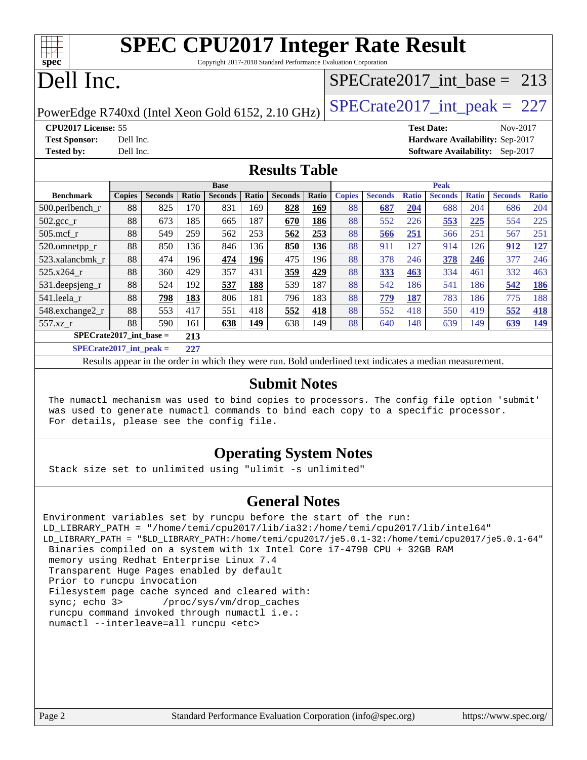|          | <b>SPEC CPU2017 Integer Rate Result</b>                         |
|----------|-----------------------------------------------------------------|
| $Spec^*$ | Copyright 2017-2018 Standard Performance Evaluation Corporation |
|          | Dell Inc.<br>SPECrate2017 int base = $213$                      |

PowerEdge R740xd (Intel Xeon Gold 6152, 2.10 GHz)  $\left|$  [SPECrate2017\\_int\\_peak =](http://www.spec.org/auto/cpu2017/Docs/result-fields.html#SPECrate2017intpeak) 227

# **[CPU2017 License:](http://www.spec.org/auto/cpu2017/Docs/result-fields.html#CPU2017License)** 55 **[Test Date:](http://www.spec.org/auto/cpu2017/Docs/result-fields.html#TestDate)** Nov-2017

**[Test Sponsor:](http://www.spec.org/auto/cpu2017/Docs/result-fields.html#TestSponsor)** Dell Inc. **[Hardware Availability:](http://www.spec.org/auto/cpu2017/Docs/result-fields.html#HardwareAvailability)** Sep-2017 **[Tested by:](http://www.spec.org/auto/cpu2017/Docs/result-fields.html#Testedby)** Dell Inc. **[Software Availability:](http://www.spec.org/auto/cpu2017/Docs/result-fields.html#SoftwareAvailability)** Sep-2017

### **[Results Table](http://www.spec.org/auto/cpu2017/Docs/result-fields.html#ResultsTable)**

|                                                  | <b>Base</b>   |                |       |                |       | <b>Peak</b>    |       |               |                |              |                |              |                |              |
|--------------------------------------------------|---------------|----------------|-------|----------------|-------|----------------|-------|---------------|----------------|--------------|----------------|--------------|----------------|--------------|
| <b>Benchmark</b>                                 | <b>Copies</b> | <b>Seconds</b> | Ratio | <b>Seconds</b> | Ratio | <b>Seconds</b> | Ratio | <b>Copies</b> | <b>Seconds</b> | <b>Ratio</b> | <b>Seconds</b> | <b>Ratio</b> | <b>Seconds</b> | <b>Ratio</b> |
| $500.$ perlbench_r                               | 88            | 825            | 170   | 831            | 169   | 828            | 169   | 88            | 687            | 204          | 688            | 204          | 686            | 204          |
| $502.\text{gcc}$ <sub>r</sub>                    | 88            | 673            | 185   | 665            | 187   | 670            | 186   | 88            | 552            | 226          | 553            | 225          | 554            | 225          |
| $505$ .mcf r                                     | 88            | 549            | 259   | 562            | 253   | 562            | 253   | 88            | 566            | 251          | 566            | 251          | 567            | 251          |
| 520.omnetpp_r                                    | 88            | 850            | 136   | 846            | 136   | 850            | 136   | 88            | 911            | 127          | 914            | 126          | 912            | <u>127</u>   |
| 523.xalancbmk r                                  | 88            | 474            | 196   | 474            | 196   | 475            | 196   | 88            | 378            | 246          | 378            | 246          | 377            | 246          |
| 525.x264 r                                       | 88            | 360            | 429   | 357            | 431   | 359            | 429   | 88            | 333            | 463          | 334            | 461          | 332            | 463          |
| $531.$ deepsjeng $_r$                            | 88            | 524            | 192   | 537            | 188   | 539            | 187   | 88            | 542            | 186          | 541            | 186          | 542            | <u>186</u>   |
| 541.leela r                                      | 88            | 798            | 183   | 806            | 181   | 796            | 183   | 88            | 779            | 187          | 783            | 186          | 775            | 188          |
| 548.exchange2_r                                  | 88            | 553            | 417   | 551            | 418   | 552            | 418   | 88            | 552            | 418          | 550            | 419          | 552            | <u>418</u>   |
| 557.xz r                                         | 88            | 590            | 161   | 638            | 149   | 638            | 149   | 88            | 640            | 148          | 639            | 149          | 639            | <u>149</u>   |
| $SPECrate2017\_int\_base =$<br>213               |               |                |       |                |       |                |       |               |                |              |                |              |                |              |
| $CDDC_{11}$ $4.2017$ $1.4$ $1.1$<br>$\mathbf{A}$ |               |                |       |                |       |                |       |               |                |              |                |              |                |              |

**[SPECrate2017\\_int\\_peak =](http://www.spec.org/auto/cpu2017/Docs/result-fields.html#SPECrate2017intpeak) 227**

Results appear in the [order in which they were run](http://www.spec.org/auto/cpu2017/Docs/result-fields.html#RunOrder). Bold underlined text [indicates a median measurement](http://www.spec.org/auto/cpu2017/Docs/result-fields.html#Median).

#### **[Submit Notes](http://www.spec.org/auto/cpu2017/Docs/result-fields.html#SubmitNotes)**

 The numactl mechanism was used to bind copies to processors. The config file option 'submit' was used to generate numactl commands to bind each copy to a specific processor. For details, please see the config file.

## **[Operating System Notes](http://www.spec.org/auto/cpu2017/Docs/result-fields.html#OperatingSystemNotes)**

Stack size set to unlimited using "ulimit -s unlimited"

### **[General Notes](http://www.spec.org/auto/cpu2017/Docs/result-fields.html#GeneralNotes)**

Environment variables set by runcpu before the start of the run: LD\_LIBRARY\_PATH = "/home/temi/cpu2017/lib/ia32:/home/temi/cpu2017/lib/intel64" LD\_LIBRARY\_PATH = "\$LD\_LIBRARY\_PATH:/home/temi/cpu2017/je5.0.1-32:/home/temi/cpu2017/je5.0.1-64" Binaries compiled on a system with 1x Intel Core i7-4790 CPU + 32GB RAM memory using Redhat Enterprise Linux 7.4 Transparent Huge Pages enabled by default Prior to runcpu invocation Filesystem page cache synced and cleared with: sync; echo 3> /proc/sys/vm/drop\_caches runcpu command invoked through numactl i.e.: numactl --interleave=all runcpu <etc>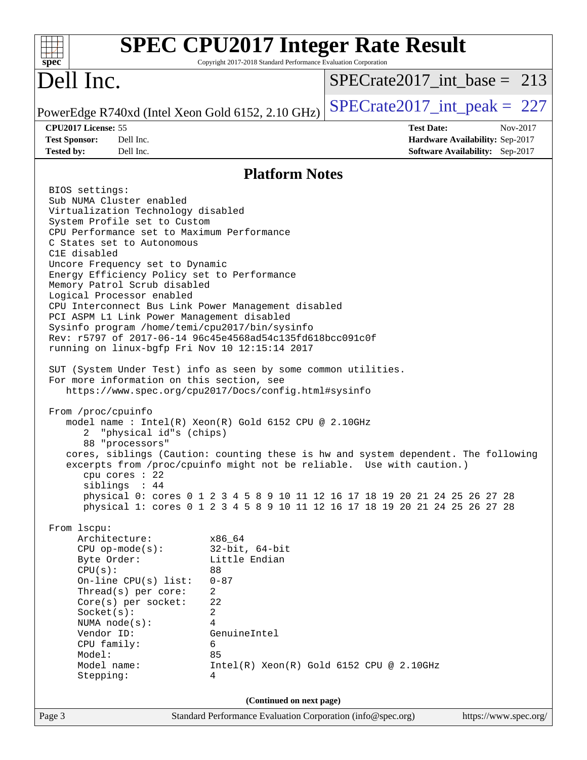| <b>SPEC CPU2017 Integer Rate Result</b><br>$spec^*$                                                                                                                                                                                                                                                                                                                                                                                                                                                                                                                                                                                                                                                                                                                                                                                                                                                                                                                                                                                                                                                                                                                                                                                                                                                                                                                                                                                                                                                                                                                                                                                                                                                                           | Copyright 2017-2018 Standard Performance Evaluation Corporation |                                            |                                                                                         |                       |          |
|-------------------------------------------------------------------------------------------------------------------------------------------------------------------------------------------------------------------------------------------------------------------------------------------------------------------------------------------------------------------------------------------------------------------------------------------------------------------------------------------------------------------------------------------------------------------------------------------------------------------------------------------------------------------------------------------------------------------------------------------------------------------------------------------------------------------------------------------------------------------------------------------------------------------------------------------------------------------------------------------------------------------------------------------------------------------------------------------------------------------------------------------------------------------------------------------------------------------------------------------------------------------------------------------------------------------------------------------------------------------------------------------------------------------------------------------------------------------------------------------------------------------------------------------------------------------------------------------------------------------------------------------------------------------------------------------------------------------------------|-----------------------------------------------------------------|--------------------------------------------|-----------------------------------------------------------------------------------------|-----------------------|----------|
| Dell Inc.                                                                                                                                                                                                                                                                                                                                                                                                                                                                                                                                                                                                                                                                                                                                                                                                                                                                                                                                                                                                                                                                                                                                                                                                                                                                                                                                                                                                                                                                                                                                                                                                                                                                                                                     |                                                                 | $SPECrate2017$ int base = 213              |                                                                                         |                       |          |
| PowerEdge R740xd (Intel Xeon Gold 6152, 2.10 GHz)                                                                                                                                                                                                                                                                                                                                                                                                                                                                                                                                                                                                                                                                                                                                                                                                                                                                                                                                                                                                                                                                                                                                                                                                                                                                                                                                                                                                                                                                                                                                                                                                                                                                             |                                                                 | $SPECrate2017\_int\_peak = 227$            |                                                                                         |                       |          |
| CPU2017 License: 55<br><b>Test Sponsor:</b><br>Dell Inc.<br>Dell Inc.<br><b>Tested by:</b>                                                                                                                                                                                                                                                                                                                                                                                                                                                                                                                                                                                                                                                                                                                                                                                                                                                                                                                                                                                                                                                                                                                                                                                                                                                                                                                                                                                                                                                                                                                                                                                                                                    |                                                                 |                                            | <b>Test Date:</b><br>Hardware Availability: Sep-2017<br>Software Availability: Sep-2017 |                       | Nov-2017 |
|                                                                                                                                                                                                                                                                                                                                                                                                                                                                                                                                                                                                                                                                                                                                                                                                                                                                                                                                                                                                                                                                                                                                                                                                                                                                                                                                                                                                                                                                                                                                                                                                                                                                                                                               | <b>Platform Notes</b>                                           |                                            |                                                                                         |                       |          |
| BIOS settings:<br>Sub NUMA Cluster enabled<br>Virtualization Technology disabled<br>System Profile set to Custom<br>CPU Performance set to Maximum Performance<br>C States set to Autonomous<br>C1E disabled<br>Uncore Frequency set to Dynamic<br>Energy Efficiency Policy set to Performance<br>Memory Patrol Scrub disabled<br>Logical Processor enabled<br>CPU Interconnect Bus Link Power Management disabled<br>PCI ASPM L1 Link Power Management disabled<br>Sysinfo program /home/temi/cpu2017/bin/sysinfo<br>Rev: r5797 of 2017-06-14 96c45e4568ad54c135fd618bcc091c0f<br>running on linux-bgfp Fri Nov 10 12:15:14 2017<br>SUT (System Under Test) info as seen by some common utilities.<br>For more information on this section, see<br>https://www.spec.org/cpu2017/Docs/config.html#sysinfo<br>From /proc/cpuinfo<br>model name : Intel(R) Xeon(R) Gold 6152 CPU @ 2.10GHz<br>"physical id"s (chips)<br>2<br>88 "processors"<br>cores, siblings (Caution: counting these is hw and system dependent. The following<br>excerpts from /proc/cpuinto might not be reliable.                           Use with caution.)<br>cpu cores $: 22$<br>siblings : 44<br>physical 0: cores 0 1 2 3 4 5 8 9 10 11 12 16 17 18 19 20 21 24 25 26 27 28<br>physical 1: cores 0 1 2 3 4 5 8 9 10 11 12 16 17 18 19 20 21 24 25 26 27 28<br>From 1scpu:<br>Architecture:<br>x86_64<br>$32$ -bit, $64$ -bit<br>$CPU$ op-mode( $s$ ):<br>Byte Order:<br>Little Endian<br>CPU(s):<br>88<br>On-line CPU(s) list:<br>$0 - 87$<br>Thread(s) per core:<br>2<br>22<br>Core(s) per socket:<br>Socket(s):<br>2<br>4<br>NUMA $node(s):$<br>Vendor ID:<br>GenuineIntel<br>CPU family:<br>6<br>85<br>Model:<br>Model name:<br>Stepping:<br>4 |                                                                 | $Intel(R) Xeon(R) Gold 6152 CPU @ 2.10GHz$ |                                                                                         |                       |          |
| Standard Performance Evaluation Corporation (info@spec.org)<br>Page 3                                                                                                                                                                                                                                                                                                                                                                                                                                                                                                                                                                                                                                                                                                                                                                                                                                                                                                                                                                                                                                                                                                                                                                                                                                                                                                                                                                                                                                                                                                                                                                                                                                                         | (Continued on next page)                                        |                                            |                                                                                         | https://www.spec.org/ |          |
|                                                                                                                                                                                                                                                                                                                                                                                                                                                                                                                                                                                                                                                                                                                                                                                                                                                                                                                                                                                                                                                                                                                                                                                                                                                                                                                                                                                                                                                                                                                                                                                                                                                                                                                               |                                                                 |                                            |                                                                                         |                       |          |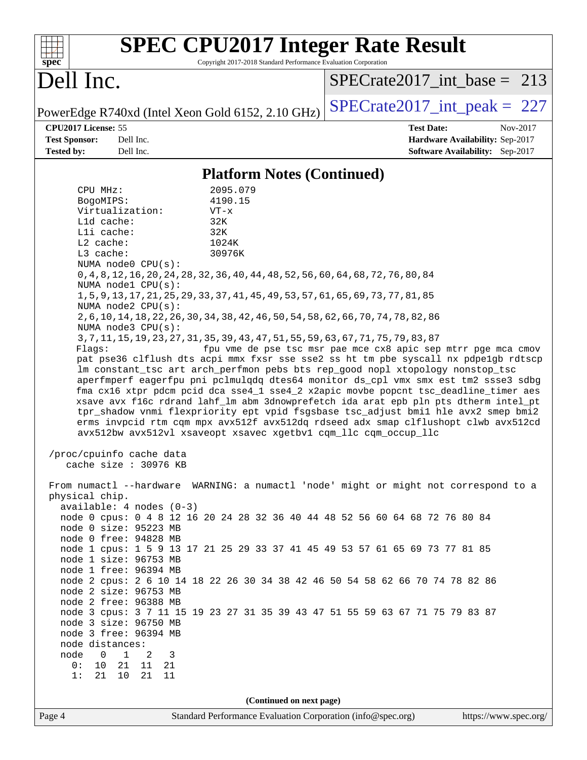| Spec                                                                     |                                                                                      | <b>SPEC CPU2017 Integer Rate Result</b><br>Copyright 2017-2018 Standard Performance Evaluation Corporation |                          |                                                               |                   |                                 |          |
|--------------------------------------------------------------------------|--------------------------------------------------------------------------------------|------------------------------------------------------------------------------------------------------------|--------------------------|---------------------------------------------------------------|-------------------|---------------------------------|----------|
| Dell Inc.                                                                |                                                                                      | $SPECrate2017\_int\_base = 213$                                                                            |                          |                                                               |                   |                                 |          |
| PowerEdge R740xd (Intel Xeon Gold 6152, 2.10 GHz)                        |                                                                                      | $SPECrate2017\_int\_peak = 227$                                                                            |                          |                                                               |                   |                                 |          |
| CPU2017 License: 55                                                      |                                                                                      |                                                                                                            |                          |                                                               | <b>Test Date:</b> |                                 | Nov-2017 |
| <b>Test Sponsor:</b>                                                     | Dell Inc.                                                                            |                                                                                                            |                          |                                                               |                   | Hardware Availability: Sep-2017 |          |
| <b>Tested by:</b><br>Dell Inc.<br><b>Software Availability:</b> Sep-2017 |                                                                                      |                                                                                                            |                          |                                                               |                   |                                 |          |
| <b>Platform Notes (Continued)</b>                                        |                                                                                      |                                                                                                            |                          |                                                               |                   |                                 |          |
| CPU MHz:                                                                 |                                                                                      | 2095.079                                                                                                   |                          |                                                               |                   |                                 |          |
| BogoMIPS:                                                                |                                                                                      | 4190.15                                                                                                    |                          |                                                               |                   |                                 |          |
|                                                                          | Virtualization:                                                                      | $VT - x$                                                                                                   |                          |                                                               |                   |                                 |          |
| L1d cache:                                                               |                                                                                      | 32K                                                                                                        |                          |                                                               |                   |                                 |          |
| Lli cache:                                                               |                                                                                      | 32K                                                                                                        |                          |                                                               |                   |                                 |          |
| L2 cache:                                                                |                                                                                      | 1024K                                                                                                      |                          |                                                               |                   |                                 |          |
| L3 cache:                                                                | NUMA node0 CPU(s):                                                                   | 30976K                                                                                                     |                          |                                                               |                   |                                 |          |
|                                                                          | 0, 4, 8, 12, 16, 20, 24, 28, 32, 36, 40, 44, 48, 52, 56, 60, 64, 68, 72, 76, 80, 84  |                                                                                                            |                          |                                                               |                   |                                 |          |
|                                                                          | NUMA node1 CPU(s):                                                                   |                                                                                                            |                          |                                                               |                   |                                 |          |
|                                                                          | 1, 5, 9, 13, 17, 21, 25, 29, 33, 37, 41, 45, 49, 53, 57, 61, 65, 69, 73, 77, 81, 85  |                                                                                                            |                          |                                                               |                   |                                 |          |
|                                                                          | NUMA node2 CPU(s):                                                                   |                                                                                                            |                          |                                                               |                   |                                 |          |
|                                                                          | 2, 6, 10, 14, 18, 22, 26, 30, 34, 38, 42, 46, 50, 54, 58, 62, 66, 70, 74, 78, 82, 86 |                                                                                                            |                          |                                                               |                   |                                 |          |
|                                                                          | NUMA $node3$ $CPU(s)$ :                                                              |                                                                                                            |                          |                                                               |                   |                                 |          |
| Flags:                                                                   | 3, 7, 11, 15, 19, 23, 27, 31, 35, 39, 43, 47, 51, 55, 59, 63, 67, 71, 75, 79, 83, 87 |                                                                                                            |                          | fpu vme de pse tsc msr pae mce cx8 apic sep mtrr pge mca cmov |                   |                                 |          |
|                                                                          | pat pse36 clflush dts acpi mmx fxsr sse sse2 ss ht tm pbe syscall nx pdpelgb rdtscp  |                                                                                                            |                          |                                                               |                   |                                 |          |
|                                                                          | lm constant_tsc art arch_perfmon pebs bts rep_good nopl xtopology nonstop_tsc        |                                                                                                            |                          |                                                               |                   |                                 |          |
|                                                                          | aperfmperf eagerfpu pni pclmulqdq dtes64 monitor ds_cpl vmx smx est tm2 ssse3 sdbg   |                                                                                                            |                          |                                                               |                   |                                 |          |
|                                                                          | fma cx16 xtpr pdcm pcid dca sse4_1 sse4_2 x2apic movbe popcnt tsc_deadline_timer aes |                                                                                                            |                          |                                                               |                   |                                 |          |
|                                                                          | xsave avx f16c rdrand lahf_lm abm 3dnowprefetch ida arat epb pln pts dtherm intel_pt |                                                                                                            |                          |                                                               |                   |                                 |          |
|                                                                          | tpr_shadow vnmi flexpriority ept vpid fsgsbase tsc_adjust bmil hle avx2 smep bmi2    |                                                                                                            |                          |                                                               |                   |                                 |          |
|                                                                          | erms invpcid rtm cqm mpx avx512f avx512dq rdseed adx smap clflushopt clwb avx512cd   |                                                                                                            |                          |                                                               |                   |                                 |          |
|                                                                          | avx512bw avx512vl xsaveopt xsavec xgetbvl cqm_llc cqm_occup_llc                      |                                                                                                            |                          |                                                               |                   |                                 |          |
|                                                                          | /proc/cpuinfo cache data                                                             |                                                                                                            |                          |                                                               |                   |                                 |          |
|                                                                          | cache size : 30976 KB                                                                |                                                                                                            |                          |                                                               |                   |                                 |          |
|                                                                          |                                                                                      |                                                                                                            |                          |                                                               |                   |                                 |          |
|                                                                          | From numactl --hardware WARNING: a numactl 'node' might or might not correspond to a |                                                                                                            |                          |                                                               |                   |                                 |          |
| physical chip.                                                           |                                                                                      |                                                                                                            |                          |                                                               |                   |                                 |          |
|                                                                          | $available: 4 nodes (0-3)$                                                           |                                                                                                            |                          |                                                               |                   |                                 |          |
|                                                                          | node 0 cpus: 0 4 8 12 16 20 24 28 32 36 40 44 48 52 56 60 64 68 72 76 80 84          |                                                                                                            |                          |                                                               |                   |                                 |          |
|                                                                          | node 0 size: 95223 MB<br>node 0 free: 94828 MB                                       |                                                                                                            |                          |                                                               |                   |                                 |          |
|                                                                          | node 1 cpus: 1 5 9 13 17 21 25 29 33 37 41 45 49 53 57 61 65 69 73 77 81 85          |                                                                                                            |                          |                                                               |                   |                                 |          |
|                                                                          | node 1 size: 96753 MB                                                                |                                                                                                            |                          |                                                               |                   |                                 |          |
|                                                                          | node 1 free: 96394 MB                                                                |                                                                                                            |                          |                                                               |                   |                                 |          |
|                                                                          | node 2 cpus: 2 6 10 14 18 22 26 30 34 38 42 46 50 54 58 62 66 70 74 78 82 86         |                                                                                                            |                          |                                                               |                   |                                 |          |
|                                                                          | node 2 size: 96753 MB                                                                |                                                                                                            |                          |                                                               |                   |                                 |          |
|                                                                          | node 2 free: 96388 MB                                                                |                                                                                                            |                          |                                                               |                   |                                 |          |
|                                                                          | node 3 cpus: 3 7 11 15 19 23 27 31 35 39 43 47 51 55 59 63 67 71 75 79 83 87         |                                                                                                            |                          |                                                               |                   |                                 |          |
| node 3 size: 96750 MB                                                    |                                                                                      |                                                                                                            |                          |                                                               |                   |                                 |          |
|                                                                          | node 3 free: 96394 MB                                                                |                                                                                                            |                          |                                                               |                   |                                 |          |
| node distances:<br>node<br>$\overline{0}$                                | $\overline{1}$<br>2                                                                  |                                                                                                            |                          |                                                               |                   |                                 |          |
| 0:<br>10                                                                 | 3<br>21<br>11<br>21                                                                  |                                                                                                            |                          |                                                               |                   |                                 |          |
| 1:<br>21                                                                 | 10<br>21<br>11                                                                       |                                                                                                            |                          |                                                               |                   |                                 |          |
|                                                                          |                                                                                      |                                                                                                            |                          |                                                               |                   |                                 |          |
|                                                                          |                                                                                      |                                                                                                            | (Continued on next page) |                                                               |                   |                                 |          |
| Page 4                                                                   |                                                                                      | Standard Performance Evaluation Corporation (info@spec.org)                                                |                          |                                                               |                   | https://www.spec.org/           |          |
|                                                                          |                                                                                      |                                                                                                            |                          |                                                               |                   |                                 |          |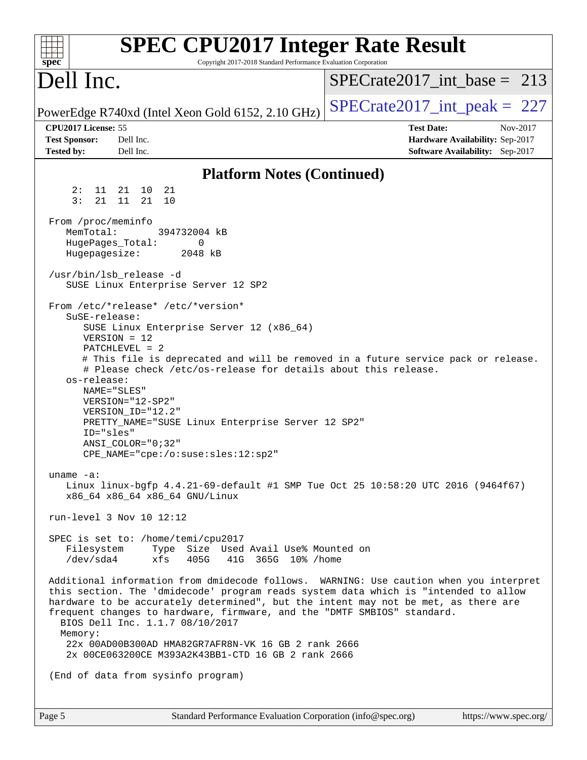| spec <sup>®</sup>                                                    | <b>SPEC CPU2017 Integer Rate Result</b><br>Copyright 2017-2018 Standard Performance Evaluation Corporation                                                                                                                                                                                                                                                                                           |                                                                                                     |
|----------------------------------------------------------------------|------------------------------------------------------------------------------------------------------------------------------------------------------------------------------------------------------------------------------------------------------------------------------------------------------------------------------------------------------------------------------------------------------|-----------------------------------------------------------------------------------------------------|
| Dell Inc.                                                            |                                                                                                                                                                                                                                                                                                                                                                                                      | $SPECrate2017\_int\_base = 213$                                                                     |
|                                                                      | PowerEdge R740xd (Intel Xeon Gold 6152, 2.10 GHz)                                                                                                                                                                                                                                                                                                                                                    | $SPECTate2017\_int\_peak = 227$                                                                     |
| CPU2017 License: 55<br><b>Test Sponsor:</b><br><b>Tested by:</b>     | Dell Inc.<br>Dell Inc.                                                                                                                                                                                                                                                                                                                                                                               | <b>Test Date:</b><br>Nov-2017<br>Hardware Availability: Sep-2017<br>Software Availability: Sep-2017 |
|                                                                      | <b>Platform Notes (Continued)</b>                                                                                                                                                                                                                                                                                                                                                                    |                                                                                                     |
| 2:<br>3:<br>21                                                       | 21<br>11 21 10<br>11<br>21<br>10                                                                                                                                                                                                                                                                                                                                                                     |                                                                                                     |
| From /proc/meminfo<br>MemTotal:<br>HugePages_Total:<br>Hugepagesize: | 394732004 kB<br>0<br>2048 kB<br>/usr/bin/lsb release -d<br>SUSE Linux Enterprise Server 12 SP2                                                                                                                                                                                                                                                                                                       |                                                                                                     |
| SuSE-release:<br>os-release:<br>ID="sles"                            | From /etc/*release* /etc/*version*<br>SUSE Linux Enterprise Server 12 (x86_64)<br>$VERSION = 12$<br>PATCHLEVEL = 2<br># Please check /etc/os-release for details about this release.<br>NAME="SLES"<br>$VERSION = "12-SP2"$<br>VERSION_ID="12.2"<br>PRETTY_NAME="SUSE Linux Enterprise Server 12 SP2"<br>$ANSI$ _COLOR=" $0:32$ "<br>CPE_NAME="cpe:/o:suse:sles:12:sp2"                              | # This file is deprecated and will be removed in a future service pack or release.                  |
| uname $-a$ :                                                         | Linux linux-bgfp 4.4.21-69-default #1 SMP Tue Oct 25 10:58:20 UTC 2016 (9464f67)<br>x86_64 x86_64 x86_64 GNU/Linux                                                                                                                                                                                                                                                                                   |                                                                                                     |
|                                                                      | run-level 3 Nov 10 12:12                                                                                                                                                                                                                                                                                                                                                                             |                                                                                                     |
| Filesystem<br>/dev/sda4                                              | SPEC is set to: /home/temi/cpu2017<br>Type Size Used Avail Use% Mounted on<br>xfs<br>405G<br>41G 365G 10% / home                                                                                                                                                                                                                                                                                     |                                                                                                     |
| Memory:                                                              | this section. The 'dmidecode' program reads system data which is "intended to allow<br>hardware to be accurately determined", but the intent may not be met, as there are<br>frequent changes to hardware, firmware, and the "DMTF SMBIOS" standard.<br>BIOS Dell Inc. 1.1.7 08/10/2017<br>22x 00AD00B300AD HMA82GR7AFR8N-VK 16 GB 2 rank 2666<br>2x 00CE063200CE M393A2K43BB1-CTD 16 GB 2 rank 2666 | Additional information from dmidecode follows. WARNING: Use caution when you interpret              |
|                                                                      | (End of data from sysinfo program)                                                                                                                                                                                                                                                                                                                                                                   |                                                                                                     |
|                                                                      |                                                                                                                                                                                                                                                                                                                                                                                                      |                                                                                                     |
| Page 5                                                               | Standard Performance Evaluation Corporation (info@spec.org)                                                                                                                                                                                                                                                                                                                                          | https://www.spec.org/                                                                               |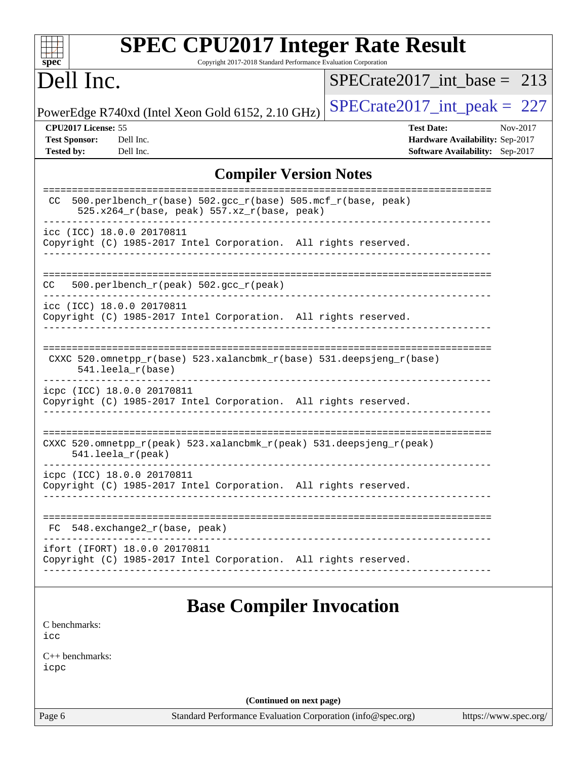| <b>SPEC CPU2017 Integer Rate Result</b>                                                                               |                                 |
|-----------------------------------------------------------------------------------------------------------------------|---------------------------------|
| Copyright 2017-2018 Standard Performance Evaluation Corporation<br>spec <sup>®</sup>                                  |                                 |
| Dell Inc.                                                                                                             | $SPECrate2017\_int\_base = 213$ |
| PowerEdge R740xd (Intel Xeon Gold 6152, 2.10 GHz)                                                                     | $SPECrate2017\_int\_peak = 227$ |
| CPU2017 License: 55                                                                                                   | <b>Test Date:</b><br>Nov-2017   |
| <b>Test Sponsor:</b><br>Dell Inc.                                                                                     | Hardware Availability: Sep-2017 |
| <b>Tested by:</b><br>Dell Inc.                                                                                        | Software Availability: Sep-2017 |
| <b>Compiler Version Notes</b>                                                                                         |                                 |
| $500. perlbench_r(base) 502. gcc_r(base) 505.mcf_r(base, peak)$<br>CC.<br>525.x264_r(base, peak) 557.xz_r(base, peak) | =============================   |
| icc (ICC) 18.0.0 20170811<br>Copyright (C) 1985-2017 Intel Corporation. All rights reserved.                          |                                 |
| 500.perlbench_r(peak) 502.gcc_r(peak)<br>CC.                                                                          |                                 |
| icc (ICC) 18.0.0 20170811<br>Copyright (C) 1985-2017 Intel Corporation. All rights reserved.                          |                                 |
| CXXC 520.omnetpp_r(base) 523.xalancbmk_r(base) 531.deepsjeng_r(base)<br>541.                                          |                                 |
| icpc (ICC) 18.0.0 20170811<br>Copyright (C) 1985-2017 Intel Corporation. All rights reserved.                         |                                 |
| CXXC 520.omnetpp_r(peak) 523.xalancbmk_r(peak) 531.deepsjeng_r(peak)<br>541.leela_r(peak)                             | ==========================      |
| icpc (ICC) 18.0.0 20170811<br>Copyright (C) 1985-2017 Intel Corporation. All rights reserved.                         |                                 |
| 548.exchange2_r(base, peak)<br>FC.                                                                                    |                                 |
| ifort (IFORT) 18.0.0 20170811<br>Copyright (C) 1985-2017 Intel Corporation. All rights reserved.                      |                                 |
| <b>Base Compiler Invocation</b>                                                                                       |                                 |
| C benchmarks:<br>icc                                                                                                  |                                 |
| $C++$ benchmarks:<br>icpc                                                                                             |                                 |

**(Continued on next page)**

Page 6 Standard Performance Evaluation Corporation [\(info@spec.org\)](mailto:info@spec.org) <https://www.spec.org/>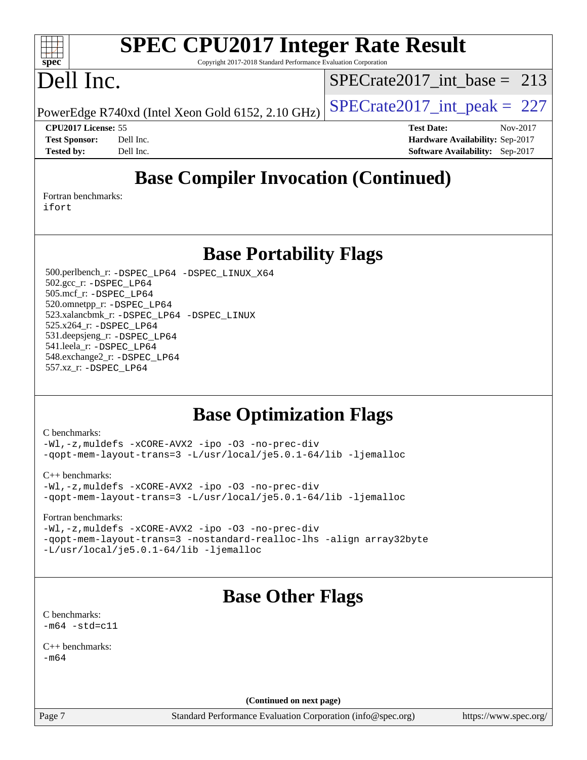#### $\pm$   $\prime$ **[spec](http://www.spec.org/)**

# **[SPEC CPU2017 Integer Rate Result](http://www.spec.org/auto/cpu2017/Docs/result-fields.html#SPECCPU2017IntegerRateResult)**

Copyright 2017-2018 Standard Performance Evaluation Corporation

# Dell Inc.

[SPECrate2017\\_int\\_base =](http://www.spec.org/auto/cpu2017/Docs/result-fields.html#SPECrate2017intbase) 213

PowerEdge R740xd (Intel Xeon Gold 6152, 2.10 GHz)  $\left|$  SPECrate 2017 int peak = 227

**[Tested by:](http://www.spec.org/auto/cpu2017/Docs/result-fields.html#Testedby)** Dell Inc. **[Software Availability:](http://www.spec.org/auto/cpu2017/Docs/result-fields.html#SoftwareAvailability)** Sep-2017

**[CPU2017 License:](http://www.spec.org/auto/cpu2017/Docs/result-fields.html#CPU2017License)** 55 **[Test Date:](http://www.spec.org/auto/cpu2017/Docs/result-fields.html#TestDate)** Nov-2017 **[Test Sponsor:](http://www.spec.org/auto/cpu2017/Docs/result-fields.html#TestSponsor)** Dell Inc. **[Hardware Availability:](http://www.spec.org/auto/cpu2017/Docs/result-fields.html#HardwareAvailability)** Sep-2017

# **[Base Compiler Invocation \(Continued\)](http://www.spec.org/auto/cpu2017/Docs/result-fields.html#BaseCompilerInvocation)**

[Fortran benchmarks](http://www.spec.org/auto/cpu2017/Docs/result-fields.html#Fortranbenchmarks): [ifort](http://www.spec.org/cpu2017/results/res2017q4/cpu2017-20171208-01390.flags.html#user_FCbase_intel_ifort_18.0_8111460550e3ca792625aed983ce982f94888b8b503583aa7ba2b8303487b4d8a21a13e7191a45c5fd58ff318f48f9492884d4413fa793fd88dd292cad7027ca)

**[Base Portability Flags](http://www.spec.org/auto/cpu2017/Docs/result-fields.html#BasePortabilityFlags)**

 500.perlbench\_r: [-DSPEC\\_LP64](http://www.spec.org/cpu2017/results/res2017q4/cpu2017-20171208-01390.flags.html#b500.perlbench_r_basePORTABILITY_DSPEC_LP64) [-DSPEC\\_LINUX\\_X64](http://www.spec.org/cpu2017/results/res2017q4/cpu2017-20171208-01390.flags.html#b500.perlbench_r_baseCPORTABILITY_DSPEC_LINUX_X64) 502.gcc\_r: [-DSPEC\\_LP64](http://www.spec.org/cpu2017/results/res2017q4/cpu2017-20171208-01390.flags.html#suite_basePORTABILITY502_gcc_r_DSPEC_LP64) 505.mcf\_r: [-DSPEC\\_LP64](http://www.spec.org/cpu2017/results/res2017q4/cpu2017-20171208-01390.flags.html#suite_basePORTABILITY505_mcf_r_DSPEC_LP64) 520.omnetpp\_r: [-DSPEC\\_LP64](http://www.spec.org/cpu2017/results/res2017q4/cpu2017-20171208-01390.flags.html#suite_basePORTABILITY520_omnetpp_r_DSPEC_LP64) 523.xalancbmk\_r: [-DSPEC\\_LP64](http://www.spec.org/cpu2017/results/res2017q4/cpu2017-20171208-01390.flags.html#suite_basePORTABILITY523_xalancbmk_r_DSPEC_LP64) [-DSPEC\\_LINUX](http://www.spec.org/cpu2017/results/res2017q4/cpu2017-20171208-01390.flags.html#b523.xalancbmk_r_baseCXXPORTABILITY_DSPEC_LINUX) 525.x264\_r: [-DSPEC\\_LP64](http://www.spec.org/cpu2017/results/res2017q4/cpu2017-20171208-01390.flags.html#suite_basePORTABILITY525_x264_r_DSPEC_LP64) 531.deepsjeng\_r: [-DSPEC\\_LP64](http://www.spec.org/cpu2017/results/res2017q4/cpu2017-20171208-01390.flags.html#suite_basePORTABILITY531_deepsjeng_r_DSPEC_LP64) 541.leela\_r: [-DSPEC\\_LP64](http://www.spec.org/cpu2017/results/res2017q4/cpu2017-20171208-01390.flags.html#suite_basePORTABILITY541_leela_r_DSPEC_LP64) 548.exchange2\_r: [-DSPEC\\_LP64](http://www.spec.org/cpu2017/results/res2017q4/cpu2017-20171208-01390.flags.html#suite_basePORTABILITY548_exchange2_r_DSPEC_LP64) 557.xz\_r: [-DSPEC\\_LP64](http://www.spec.org/cpu2017/results/res2017q4/cpu2017-20171208-01390.flags.html#suite_basePORTABILITY557_xz_r_DSPEC_LP64)

## **[Base Optimization Flags](http://www.spec.org/auto/cpu2017/Docs/result-fields.html#BaseOptimizationFlags)**

[C benchmarks](http://www.spec.org/auto/cpu2017/Docs/result-fields.html#Cbenchmarks):

[-Wl,-z,muldefs](http://www.spec.org/cpu2017/results/res2017q4/cpu2017-20171208-01390.flags.html#user_CCbase_link_force_multiple1_b4cbdb97b34bdee9ceefcfe54f4c8ea74255f0b02a4b23e853cdb0e18eb4525ac79b5a88067c842dd0ee6996c24547a27a4b99331201badda8798ef8a743f577) [-xCORE-AVX2](http://www.spec.org/cpu2017/results/res2017q4/cpu2017-20171208-01390.flags.html#user_CCbase_f-xCORE-AVX2) [-ipo](http://www.spec.org/cpu2017/results/res2017q4/cpu2017-20171208-01390.flags.html#user_CCbase_f-ipo) [-O3](http://www.spec.org/cpu2017/results/res2017q4/cpu2017-20171208-01390.flags.html#user_CCbase_f-O3) [-no-prec-div](http://www.spec.org/cpu2017/results/res2017q4/cpu2017-20171208-01390.flags.html#user_CCbase_f-no-prec-div) [-qopt-mem-layout-trans=3](http://www.spec.org/cpu2017/results/res2017q4/cpu2017-20171208-01390.flags.html#user_CCbase_f-qopt-mem-layout-trans_de80db37974c74b1f0e20d883f0b675c88c3b01e9d123adea9b28688d64333345fb62bc4a798493513fdb68f60282f9a726aa07f478b2f7113531aecce732043) [-L/usr/local/je5.0.1-64/lib](http://www.spec.org/cpu2017/results/res2017q4/cpu2017-20171208-01390.flags.html#user_CCbase_jemalloc_link_path64_4b10a636b7bce113509b17f3bd0d6226c5fb2346b9178c2d0232c14f04ab830f976640479e5c33dc2bcbbdad86ecfb6634cbbd4418746f06f368b512fced5394) [-ljemalloc](http://www.spec.org/cpu2017/results/res2017q4/cpu2017-20171208-01390.flags.html#user_CCbase_jemalloc_link_lib_d1249b907c500fa1c0672f44f562e3d0f79738ae9e3c4a9c376d49f265a04b9c99b167ecedbf6711b3085be911c67ff61f150a17b3472be731631ba4d0471706)

[C++ benchmarks:](http://www.spec.org/auto/cpu2017/Docs/result-fields.html#CXXbenchmarks) [-Wl,-z,muldefs](http://www.spec.org/cpu2017/results/res2017q4/cpu2017-20171208-01390.flags.html#user_CXXbase_link_force_multiple1_b4cbdb97b34bdee9ceefcfe54f4c8ea74255f0b02a4b23e853cdb0e18eb4525ac79b5a88067c842dd0ee6996c24547a27a4b99331201badda8798ef8a743f577) [-xCORE-AVX2](http://www.spec.org/cpu2017/results/res2017q4/cpu2017-20171208-01390.flags.html#user_CXXbase_f-xCORE-AVX2) [-ipo](http://www.spec.org/cpu2017/results/res2017q4/cpu2017-20171208-01390.flags.html#user_CXXbase_f-ipo) [-O3](http://www.spec.org/cpu2017/results/res2017q4/cpu2017-20171208-01390.flags.html#user_CXXbase_f-O3) [-no-prec-div](http://www.spec.org/cpu2017/results/res2017q4/cpu2017-20171208-01390.flags.html#user_CXXbase_f-no-prec-div) [-qopt-mem-layout-trans=3](http://www.spec.org/cpu2017/results/res2017q4/cpu2017-20171208-01390.flags.html#user_CXXbase_f-qopt-mem-layout-trans_de80db37974c74b1f0e20d883f0b675c88c3b01e9d123adea9b28688d64333345fb62bc4a798493513fdb68f60282f9a726aa07f478b2f7113531aecce732043) [-L/usr/local/je5.0.1-64/lib](http://www.spec.org/cpu2017/results/res2017q4/cpu2017-20171208-01390.flags.html#user_CXXbase_jemalloc_link_path64_4b10a636b7bce113509b17f3bd0d6226c5fb2346b9178c2d0232c14f04ab830f976640479e5c33dc2bcbbdad86ecfb6634cbbd4418746f06f368b512fced5394) [-ljemalloc](http://www.spec.org/cpu2017/results/res2017q4/cpu2017-20171208-01390.flags.html#user_CXXbase_jemalloc_link_lib_d1249b907c500fa1c0672f44f562e3d0f79738ae9e3c4a9c376d49f265a04b9c99b167ecedbf6711b3085be911c67ff61f150a17b3472be731631ba4d0471706)

[Fortran benchmarks](http://www.spec.org/auto/cpu2017/Docs/result-fields.html#Fortranbenchmarks):

[-Wl,-z,muldefs](http://www.spec.org/cpu2017/results/res2017q4/cpu2017-20171208-01390.flags.html#user_FCbase_link_force_multiple1_b4cbdb97b34bdee9ceefcfe54f4c8ea74255f0b02a4b23e853cdb0e18eb4525ac79b5a88067c842dd0ee6996c24547a27a4b99331201badda8798ef8a743f577) [-xCORE-AVX2](http://www.spec.org/cpu2017/results/res2017q4/cpu2017-20171208-01390.flags.html#user_FCbase_f-xCORE-AVX2) [-ipo](http://www.spec.org/cpu2017/results/res2017q4/cpu2017-20171208-01390.flags.html#user_FCbase_f-ipo) [-O3](http://www.spec.org/cpu2017/results/res2017q4/cpu2017-20171208-01390.flags.html#user_FCbase_f-O3) [-no-prec-div](http://www.spec.org/cpu2017/results/res2017q4/cpu2017-20171208-01390.flags.html#user_FCbase_f-no-prec-div) [-qopt-mem-layout-trans=3](http://www.spec.org/cpu2017/results/res2017q4/cpu2017-20171208-01390.flags.html#user_FCbase_f-qopt-mem-layout-trans_de80db37974c74b1f0e20d883f0b675c88c3b01e9d123adea9b28688d64333345fb62bc4a798493513fdb68f60282f9a726aa07f478b2f7113531aecce732043) [-nostandard-realloc-lhs](http://www.spec.org/cpu2017/results/res2017q4/cpu2017-20171208-01390.flags.html#user_FCbase_f_2003_std_realloc_82b4557e90729c0f113870c07e44d33d6f5a304b4f63d4c15d2d0f1fab99f5daaed73bdb9275d9ae411527f28b936061aa8b9c8f2d63842963b95c9dd6426b8a) [-align array32byte](http://www.spec.org/cpu2017/results/res2017q4/cpu2017-20171208-01390.flags.html#user_FCbase_align_array32byte_b982fe038af199962ba9a80c053b8342c548c85b40b8e86eb3cc33dee0d7986a4af373ac2d51c3f7cf710a18d62fdce2948f201cd044323541f22fc0fffc51b6) [-L/usr/local/je5.0.1-64/lib](http://www.spec.org/cpu2017/results/res2017q4/cpu2017-20171208-01390.flags.html#user_FCbase_jemalloc_link_path64_4b10a636b7bce113509b17f3bd0d6226c5fb2346b9178c2d0232c14f04ab830f976640479e5c33dc2bcbbdad86ecfb6634cbbd4418746f06f368b512fced5394) [-ljemalloc](http://www.spec.org/cpu2017/results/res2017q4/cpu2017-20171208-01390.flags.html#user_FCbase_jemalloc_link_lib_d1249b907c500fa1c0672f44f562e3d0f79738ae9e3c4a9c376d49f265a04b9c99b167ecedbf6711b3085be911c67ff61f150a17b3472be731631ba4d0471706)

# **[Base Other Flags](http://www.spec.org/auto/cpu2017/Docs/result-fields.html#BaseOtherFlags)**

[C benchmarks](http://www.spec.org/auto/cpu2017/Docs/result-fields.html#Cbenchmarks):  $-m64 - std= c11$  $-m64 - std= c11$ 

[C++ benchmarks:](http://www.spec.org/auto/cpu2017/Docs/result-fields.html#CXXbenchmarks)  $-m64$ 

**(Continued on next page)**

Page 7 Standard Performance Evaluation Corporation [\(info@spec.org\)](mailto:info@spec.org) <https://www.spec.org/>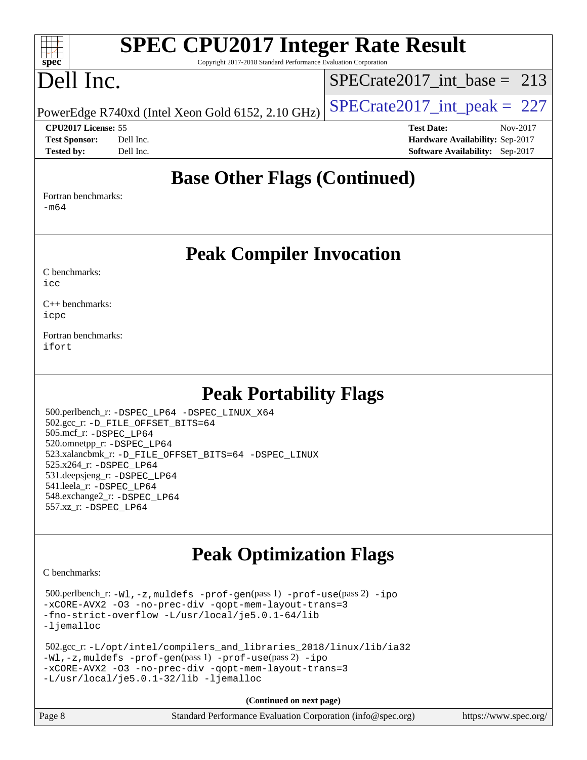# **[SPEC CPU2017 Integer Rate Result](http://www.spec.org/auto/cpu2017/Docs/result-fields.html#SPECCPU2017IntegerRateResult)**

Copyright 2017-2018 Standard Performance Evaluation Corporation

# Dell Inc.

**[spec](http://www.spec.org/)**

 $+\ +$ 

[SPECrate2017\\_int\\_base =](http://www.spec.org/auto/cpu2017/Docs/result-fields.html#SPECrate2017intbase) 213

PowerEdge R740xd (Intel Xeon Gold 6152, 2.10 GHz)  $\left|$  SPECrate 2017 int peak = 227

**[Tested by:](http://www.spec.org/auto/cpu2017/Docs/result-fields.html#Testedby)** Dell Inc. **[Software Availability:](http://www.spec.org/auto/cpu2017/Docs/result-fields.html#SoftwareAvailability)** Sep-2017

**[CPU2017 License:](http://www.spec.org/auto/cpu2017/Docs/result-fields.html#CPU2017License)** 55 **[Test Date:](http://www.spec.org/auto/cpu2017/Docs/result-fields.html#TestDate)** Nov-2017 **[Test Sponsor:](http://www.spec.org/auto/cpu2017/Docs/result-fields.html#TestSponsor)** Dell Inc. **[Hardware Availability:](http://www.spec.org/auto/cpu2017/Docs/result-fields.html#HardwareAvailability)** Sep-2017

## **[Base Other Flags \(Continued\)](http://www.spec.org/auto/cpu2017/Docs/result-fields.html#BaseOtherFlags)**

[Fortran benchmarks](http://www.spec.org/auto/cpu2017/Docs/result-fields.html#Fortranbenchmarks): [-m64](http://www.spec.org/cpu2017/results/res2017q4/cpu2017-20171208-01390.flags.html#user_FCbase_intel_intel64_18.0_af43caccfc8ded86e7699f2159af6efc7655f51387b94da716254467f3c01020a5059329e2569e4053f409e7c9202a7efc638f7a6d1ffb3f52dea4a3e31d82ab)

**[Peak Compiler Invocation](http://www.spec.org/auto/cpu2017/Docs/result-fields.html#PeakCompilerInvocation)**

[C benchmarks](http://www.spec.org/auto/cpu2017/Docs/result-fields.html#Cbenchmarks): [icc](http://www.spec.org/cpu2017/results/res2017q4/cpu2017-20171208-01390.flags.html#user_CCpeak_intel_icc_18.0_66fc1ee009f7361af1fbd72ca7dcefbb700085f36577c54f309893dd4ec40d12360134090235512931783d35fd58c0460139e722d5067c5574d8eaf2b3e37e92)

[C++ benchmarks:](http://www.spec.org/auto/cpu2017/Docs/result-fields.html#CXXbenchmarks) [icpc](http://www.spec.org/cpu2017/results/res2017q4/cpu2017-20171208-01390.flags.html#user_CXXpeak_intel_icpc_18.0_c510b6838c7f56d33e37e94d029a35b4a7bccf4766a728ee175e80a419847e808290a9b78be685c44ab727ea267ec2f070ec5dc83b407c0218cded6866a35d07)

[Fortran benchmarks](http://www.spec.org/auto/cpu2017/Docs/result-fields.html#Fortranbenchmarks): [ifort](http://www.spec.org/cpu2017/results/res2017q4/cpu2017-20171208-01390.flags.html#user_FCpeak_intel_ifort_18.0_8111460550e3ca792625aed983ce982f94888b8b503583aa7ba2b8303487b4d8a21a13e7191a45c5fd58ff318f48f9492884d4413fa793fd88dd292cad7027ca)

## **[Peak Portability Flags](http://www.spec.org/auto/cpu2017/Docs/result-fields.html#PeakPortabilityFlags)**

 500.perlbench\_r: [-DSPEC\\_LP64](http://www.spec.org/cpu2017/results/res2017q4/cpu2017-20171208-01390.flags.html#b500.perlbench_r_peakPORTABILITY_DSPEC_LP64) [-DSPEC\\_LINUX\\_X64](http://www.spec.org/cpu2017/results/res2017q4/cpu2017-20171208-01390.flags.html#b500.perlbench_r_peakCPORTABILITY_DSPEC_LINUX_X64) 502.gcc\_r: [-D\\_FILE\\_OFFSET\\_BITS=64](http://www.spec.org/cpu2017/results/res2017q4/cpu2017-20171208-01390.flags.html#user_peakPORTABILITY502_gcc_r_file_offset_bits_64_5ae949a99b284ddf4e95728d47cb0843d81b2eb0e18bdfe74bbf0f61d0b064f4bda2f10ea5eb90e1dcab0e84dbc592acfc5018bc955c18609f94ddb8d550002c) 505.mcf\_r: [-DSPEC\\_LP64](http://www.spec.org/cpu2017/results/res2017q4/cpu2017-20171208-01390.flags.html#suite_peakPORTABILITY505_mcf_r_DSPEC_LP64) 520.omnetpp\_r: [-DSPEC\\_LP64](http://www.spec.org/cpu2017/results/res2017q4/cpu2017-20171208-01390.flags.html#suite_peakPORTABILITY520_omnetpp_r_DSPEC_LP64) 523.xalancbmk\_r: [-D\\_FILE\\_OFFSET\\_BITS=64](http://www.spec.org/cpu2017/results/res2017q4/cpu2017-20171208-01390.flags.html#user_peakPORTABILITY523_xalancbmk_r_file_offset_bits_64_5ae949a99b284ddf4e95728d47cb0843d81b2eb0e18bdfe74bbf0f61d0b064f4bda2f10ea5eb90e1dcab0e84dbc592acfc5018bc955c18609f94ddb8d550002c) [-DSPEC\\_LINUX](http://www.spec.org/cpu2017/results/res2017q4/cpu2017-20171208-01390.flags.html#b523.xalancbmk_r_peakCXXPORTABILITY_DSPEC_LINUX) 525.x264\_r: [-DSPEC\\_LP64](http://www.spec.org/cpu2017/results/res2017q4/cpu2017-20171208-01390.flags.html#suite_peakPORTABILITY525_x264_r_DSPEC_LP64) 531.deepsjeng\_r: [-DSPEC\\_LP64](http://www.spec.org/cpu2017/results/res2017q4/cpu2017-20171208-01390.flags.html#suite_peakPORTABILITY531_deepsjeng_r_DSPEC_LP64) 541.leela\_r: [-DSPEC\\_LP64](http://www.spec.org/cpu2017/results/res2017q4/cpu2017-20171208-01390.flags.html#suite_peakPORTABILITY541_leela_r_DSPEC_LP64) 548.exchange2\_r: [-DSPEC\\_LP64](http://www.spec.org/cpu2017/results/res2017q4/cpu2017-20171208-01390.flags.html#suite_peakPORTABILITY548_exchange2_r_DSPEC_LP64) 557.xz\_r: [-DSPEC\\_LP64](http://www.spec.org/cpu2017/results/res2017q4/cpu2017-20171208-01390.flags.html#suite_peakPORTABILITY557_xz_r_DSPEC_LP64)

# **[Peak Optimization Flags](http://www.spec.org/auto/cpu2017/Docs/result-fields.html#PeakOptimizationFlags)**

[C benchmarks](http://www.spec.org/auto/cpu2017/Docs/result-fields.html#Cbenchmarks):

 500.perlbench\_r: [-Wl,-z,muldefs](http://www.spec.org/cpu2017/results/res2017q4/cpu2017-20171208-01390.flags.html#user_peakEXTRA_LDFLAGS500_perlbench_r_link_force_multiple1_b4cbdb97b34bdee9ceefcfe54f4c8ea74255f0b02a4b23e853cdb0e18eb4525ac79b5a88067c842dd0ee6996c24547a27a4b99331201badda8798ef8a743f577) [-prof-gen](http://www.spec.org/cpu2017/results/res2017q4/cpu2017-20171208-01390.flags.html#user_peakPASS1_CFLAGSPASS1_LDFLAGS500_perlbench_r_prof_gen_5aa4926d6013ddb2a31985c654b3eb18169fc0c6952a63635c234f711e6e63dd76e94ad52365559451ec499a2cdb89e4dc58ba4c67ef54ca681ffbe1461d6b36)(pass 1) [-prof-use](http://www.spec.org/cpu2017/results/res2017q4/cpu2017-20171208-01390.flags.html#user_peakPASS2_CFLAGSPASS2_LDFLAGS500_perlbench_r_prof_use_1a21ceae95f36a2b53c25747139a6c16ca95bd9def2a207b4f0849963b97e94f5260e30a0c64f4bb623698870e679ca08317ef8150905d41bd88c6f78df73f19)(pass 2) [-ipo](http://www.spec.org/cpu2017/results/res2017q4/cpu2017-20171208-01390.flags.html#user_peakPASS1_COPTIMIZEPASS2_COPTIMIZE500_perlbench_r_f-ipo) [-xCORE-AVX2](http://www.spec.org/cpu2017/results/res2017q4/cpu2017-20171208-01390.flags.html#user_peakPASS2_COPTIMIZE500_perlbench_r_f-xCORE-AVX2) [-O3](http://www.spec.org/cpu2017/results/res2017q4/cpu2017-20171208-01390.flags.html#user_peakPASS1_COPTIMIZEPASS2_COPTIMIZE500_perlbench_r_f-O3) [-no-prec-div](http://www.spec.org/cpu2017/results/res2017q4/cpu2017-20171208-01390.flags.html#user_peakPASS1_COPTIMIZEPASS2_COPTIMIZE500_perlbench_r_f-no-prec-div) [-qopt-mem-layout-trans=3](http://www.spec.org/cpu2017/results/res2017q4/cpu2017-20171208-01390.flags.html#user_peakPASS1_COPTIMIZEPASS2_COPTIMIZE500_perlbench_r_f-qopt-mem-layout-trans_de80db37974c74b1f0e20d883f0b675c88c3b01e9d123adea9b28688d64333345fb62bc4a798493513fdb68f60282f9a726aa07f478b2f7113531aecce732043) [-fno-strict-overflow](http://www.spec.org/cpu2017/results/res2017q4/cpu2017-20171208-01390.flags.html#user_peakEXTRA_OPTIMIZE500_perlbench_r_f-fno-strict-overflow) [-L/usr/local/je5.0.1-64/lib](http://www.spec.org/cpu2017/results/res2017q4/cpu2017-20171208-01390.flags.html#user_peakEXTRA_LIBS500_perlbench_r_jemalloc_link_path64_4b10a636b7bce113509b17f3bd0d6226c5fb2346b9178c2d0232c14f04ab830f976640479e5c33dc2bcbbdad86ecfb6634cbbd4418746f06f368b512fced5394) [-ljemalloc](http://www.spec.org/cpu2017/results/res2017q4/cpu2017-20171208-01390.flags.html#user_peakEXTRA_LIBS500_perlbench_r_jemalloc_link_lib_d1249b907c500fa1c0672f44f562e3d0f79738ae9e3c4a9c376d49f265a04b9c99b167ecedbf6711b3085be911c67ff61f150a17b3472be731631ba4d0471706)

 502.gcc\_r: [-L/opt/intel/compilers\\_and\\_libraries\\_2018/linux/lib/ia32](http://www.spec.org/cpu2017/results/res2017q4/cpu2017-20171208-01390.flags.html#user_peakCCLD502_gcc_r_Enable-32bit-runtime_af243bdb1d79e4c7a4f720bf8275e627de2ecd461de63307bc14cef0633fde3cd7bb2facb32dcc8be9566045fb55d40ce2b72b725f73827aa7833441b71b9343) [-Wl,-z,muldefs](http://www.spec.org/cpu2017/results/res2017q4/cpu2017-20171208-01390.flags.html#user_peakEXTRA_LDFLAGS502_gcc_r_link_force_multiple1_b4cbdb97b34bdee9ceefcfe54f4c8ea74255f0b02a4b23e853cdb0e18eb4525ac79b5a88067c842dd0ee6996c24547a27a4b99331201badda8798ef8a743f577) [-prof-gen](http://www.spec.org/cpu2017/results/res2017q4/cpu2017-20171208-01390.flags.html#user_peakPASS1_CFLAGSPASS1_LDFLAGS502_gcc_r_prof_gen_5aa4926d6013ddb2a31985c654b3eb18169fc0c6952a63635c234f711e6e63dd76e94ad52365559451ec499a2cdb89e4dc58ba4c67ef54ca681ffbe1461d6b36)(pass 1) [-prof-use](http://www.spec.org/cpu2017/results/res2017q4/cpu2017-20171208-01390.flags.html#user_peakPASS2_CFLAGSPASS2_LDFLAGS502_gcc_r_prof_use_1a21ceae95f36a2b53c25747139a6c16ca95bd9def2a207b4f0849963b97e94f5260e30a0c64f4bb623698870e679ca08317ef8150905d41bd88c6f78df73f19)(pass 2) [-ipo](http://www.spec.org/cpu2017/results/res2017q4/cpu2017-20171208-01390.flags.html#user_peakPASS1_COPTIMIZEPASS2_COPTIMIZE502_gcc_r_f-ipo) [-xCORE-AVX2](http://www.spec.org/cpu2017/results/res2017q4/cpu2017-20171208-01390.flags.html#user_peakPASS2_COPTIMIZE502_gcc_r_f-xCORE-AVX2) [-O3](http://www.spec.org/cpu2017/results/res2017q4/cpu2017-20171208-01390.flags.html#user_peakPASS1_COPTIMIZEPASS2_COPTIMIZE502_gcc_r_f-O3) [-no-prec-div](http://www.spec.org/cpu2017/results/res2017q4/cpu2017-20171208-01390.flags.html#user_peakPASS1_COPTIMIZEPASS2_COPTIMIZE502_gcc_r_f-no-prec-div) [-qopt-mem-layout-trans=3](http://www.spec.org/cpu2017/results/res2017q4/cpu2017-20171208-01390.flags.html#user_peakPASS1_COPTIMIZEPASS2_COPTIMIZE502_gcc_r_f-qopt-mem-layout-trans_de80db37974c74b1f0e20d883f0b675c88c3b01e9d123adea9b28688d64333345fb62bc4a798493513fdb68f60282f9a726aa07f478b2f7113531aecce732043) [-L/usr/local/je5.0.1-32/lib](http://www.spec.org/cpu2017/results/res2017q4/cpu2017-20171208-01390.flags.html#user_peakEXTRA_LIBS502_gcc_r_jemalloc_link_path32_e29f22e8e6c17053bbc6a0971f5a9c01a601a06bb1a59df2084b77a2fe0a2995b64fd4256feaeea39eeba3aae142e96e2b2b0a28974019c0c0c88139a84f900a) [-ljemalloc](http://www.spec.org/cpu2017/results/res2017q4/cpu2017-20171208-01390.flags.html#user_peakEXTRA_LIBS502_gcc_r_jemalloc_link_lib_d1249b907c500fa1c0672f44f562e3d0f79738ae9e3c4a9c376d49f265a04b9c99b167ecedbf6711b3085be911c67ff61f150a17b3472be731631ba4d0471706)

**(Continued on next page)**

| Page 8 | Standard Performance Evaluation Corporation (info@spec.org) | https://www.spec.org/ |
|--------|-------------------------------------------------------------|-----------------------|
|--------|-------------------------------------------------------------|-----------------------|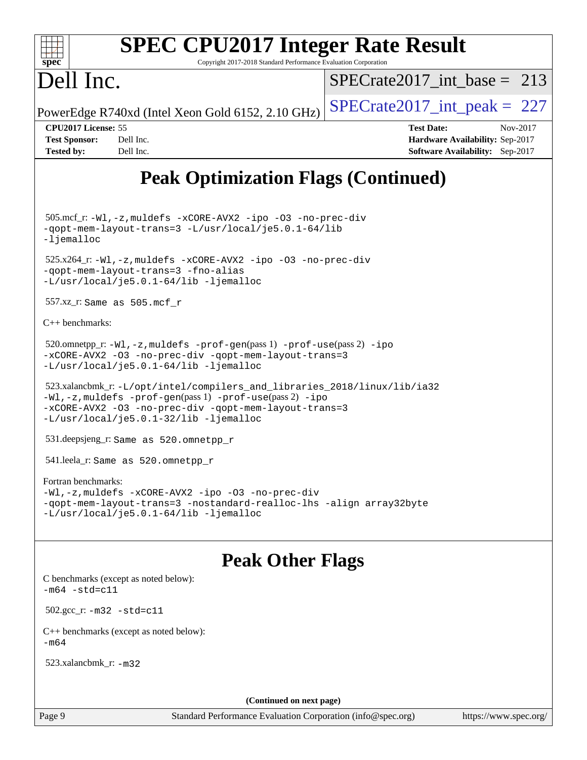

# **[SPEC CPU2017 Integer Rate Result](http://www.spec.org/auto/cpu2017/Docs/result-fields.html#SPECCPU2017IntegerRateResult)**

Copyright 2017-2018 Standard Performance Evaluation Corporation

# Dell Inc.

[SPECrate2017\\_int\\_base =](http://www.spec.org/auto/cpu2017/Docs/result-fields.html#SPECrate2017intbase) 213

PowerEdge R740xd (Intel Xeon Gold 6152, 2.10 GHz)  $\left|$  SPECrate 2017 int peak = 227

**[CPU2017 License:](http://www.spec.org/auto/cpu2017/Docs/result-fields.html#CPU2017License)** 55 **[Test Date:](http://www.spec.org/auto/cpu2017/Docs/result-fields.html#TestDate)** Nov-2017 **[Test Sponsor:](http://www.spec.org/auto/cpu2017/Docs/result-fields.html#TestSponsor)** Dell Inc. **[Hardware Availability:](http://www.spec.org/auto/cpu2017/Docs/result-fields.html#HardwareAvailability)** Sep-2017 **[Tested by:](http://www.spec.org/auto/cpu2017/Docs/result-fields.html#Testedby)** Dell Inc. **[Software Availability:](http://www.spec.org/auto/cpu2017/Docs/result-fields.html#SoftwareAvailability)** Sep-2017

# **[Peak Optimization Flags \(Continued\)](http://www.spec.org/auto/cpu2017/Docs/result-fields.html#PeakOptimizationFlags)**

 505.mcf\_r: [-Wl,-z,muldefs](http://www.spec.org/cpu2017/results/res2017q4/cpu2017-20171208-01390.flags.html#user_peakEXTRA_LDFLAGS505_mcf_r_link_force_multiple1_b4cbdb97b34bdee9ceefcfe54f4c8ea74255f0b02a4b23e853cdb0e18eb4525ac79b5a88067c842dd0ee6996c24547a27a4b99331201badda8798ef8a743f577) [-xCORE-AVX2](http://www.spec.org/cpu2017/results/res2017q4/cpu2017-20171208-01390.flags.html#user_peakCOPTIMIZE505_mcf_r_f-xCORE-AVX2) [-ipo](http://www.spec.org/cpu2017/results/res2017q4/cpu2017-20171208-01390.flags.html#user_peakCOPTIMIZE505_mcf_r_f-ipo) [-O3](http://www.spec.org/cpu2017/results/res2017q4/cpu2017-20171208-01390.flags.html#user_peakCOPTIMIZE505_mcf_r_f-O3) [-no-prec-div](http://www.spec.org/cpu2017/results/res2017q4/cpu2017-20171208-01390.flags.html#user_peakCOPTIMIZE505_mcf_r_f-no-prec-div) [-qopt-mem-layout-trans=3](http://www.spec.org/cpu2017/results/res2017q4/cpu2017-20171208-01390.flags.html#user_peakCOPTIMIZE505_mcf_r_f-qopt-mem-layout-trans_de80db37974c74b1f0e20d883f0b675c88c3b01e9d123adea9b28688d64333345fb62bc4a798493513fdb68f60282f9a726aa07f478b2f7113531aecce732043) [-L/usr/local/je5.0.1-64/lib](http://www.spec.org/cpu2017/results/res2017q4/cpu2017-20171208-01390.flags.html#user_peakEXTRA_LIBS505_mcf_r_jemalloc_link_path64_4b10a636b7bce113509b17f3bd0d6226c5fb2346b9178c2d0232c14f04ab830f976640479e5c33dc2bcbbdad86ecfb6634cbbd4418746f06f368b512fced5394) [-ljemalloc](http://www.spec.org/cpu2017/results/res2017q4/cpu2017-20171208-01390.flags.html#user_peakEXTRA_LIBS505_mcf_r_jemalloc_link_lib_d1249b907c500fa1c0672f44f562e3d0f79738ae9e3c4a9c376d49f265a04b9c99b167ecedbf6711b3085be911c67ff61f150a17b3472be731631ba4d0471706)

 525.x264\_r: [-Wl,-z,muldefs](http://www.spec.org/cpu2017/results/res2017q4/cpu2017-20171208-01390.flags.html#user_peakEXTRA_LDFLAGS525_x264_r_link_force_multiple1_b4cbdb97b34bdee9ceefcfe54f4c8ea74255f0b02a4b23e853cdb0e18eb4525ac79b5a88067c842dd0ee6996c24547a27a4b99331201badda8798ef8a743f577) [-xCORE-AVX2](http://www.spec.org/cpu2017/results/res2017q4/cpu2017-20171208-01390.flags.html#user_peakCOPTIMIZE525_x264_r_f-xCORE-AVX2) [-ipo](http://www.spec.org/cpu2017/results/res2017q4/cpu2017-20171208-01390.flags.html#user_peakCOPTIMIZE525_x264_r_f-ipo) [-O3](http://www.spec.org/cpu2017/results/res2017q4/cpu2017-20171208-01390.flags.html#user_peakCOPTIMIZE525_x264_r_f-O3) [-no-prec-div](http://www.spec.org/cpu2017/results/res2017q4/cpu2017-20171208-01390.flags.html#user_peakCOPTIMIZE525_x264_r_f-no-prec-div) [-qopt-mem-layout-trans=3](http://www.spec.org/cpu2017/results/res2017q4/cpu2017-20171208-01390.flags.html#user_peakCOPTIMIZE525_x264_r_f-qopt-mem-layout-trans_de80db37974c74b1f0e20d883f0b675c88c3b01e9d123adea9b28688d64333345fb62bc4a798493513fdb68f60282f9a726aa07f478b2f7113531aecce732043) [-fno-alias](http://www.spec.org/cpu2017/results/res2017q4/cpu2017-20171208-01390.flags.html#user_peakEXTRA_OPTIMIZE525_x264_r_f-no-alias_77dbac10d91cbfe898fbf4a29d1b29b694089caa623bdd1baccc9957d4edbe8d106c0b357e2748a65b44fc9e83d78098bb898077f3fe92f9faf24f7bd4a07ed7) [-L/usr/local/je5.0.1-64/lib](http://www.spec.org/cpu2017/results/res2017q4/cpu2017-20171208-01390.flags.html#user_peakEXTRA_LIBS525_x264_r_jemalloc_link_path64_4b10a636b7bce113509b17f3bd0d6226c5fb2346b9178c2d0232c14f04ab830f976640479e5c33dc2bcbbdad86ecfb6634cbbd4418746f06f368b512fced5394) [-ljemalloc](http://www.spec.org/cpu2017/results/res2017q4/cpu2017-20171208-01390.flags.html#user_peakEXTRA_LIBS525_x264_r_jemalloc_link_lib_d1249b907c500fa1c0672f44f562e3d0f79738ae9e3c4a9c376d49f265a04b9c99b167ecedbf6711b3085be911c67ff61f150a17b3472be731631ba4d0471706)

557.xz\_r: Same as 505.mcf\_r

[C++ benchmarks:](http://www.spec.org/auto/cpu2017/Docs/result-fields.html#CXXbenchmarks)

```
520.omnetpp_r:-Wl-prof-use-ipo
-xCORE-AVX2 -O3 -no-prec-div -qopt-mem-layout-trans=3
-L/usr/local/je5.0.1-64/lib -ljemalloc
```

```
 523.xalancbmk_r: -L/opt/intel/compilers_and_libraries_2018/linux/lib/ia32
-Wl,-z,muldefs -prof-gen(pass 1) -prof-use(pass 2) -ipo
-xCORE-AVX2 -O3 -no-prec-div -qopt-mem-layout-trans=3
-L/usr/local/je5.0.1-32/lib -ljemalloc
```
531.deepsjeng\_r: Same as 520.omnetpp\_r

541.leela\_r: Same as 520.omnetpp\_r

#### [Fortran benchmarks](http://www.spec.org/auto/cpu2017/Docs/result-fields.html#Fortranbenchmarks):

```
-Wl,-z,muldefs -xCORE-AVX2 -ipo -O3 -no-prec-div
-qopt-mem-layout-trans=3 -nostandard-realloc-lhs -align array32byte
-L/usr/local/je5.0.1-64/lib -ljemalloc
```
## **[Peak Other Flags](http://www.spec.org/auto/cpu2017/Docs/result-fields.html#PeakOtherFlags)**

[C benchmarks \(except as noted below\)](http://www.spec.org/auto/cpu2017/Docs/result-fields.html#Cbenchmarksexceptasnotedbelow):  $-m64 - std= c11$  $-m64 - std= c11$  502.gcc\_r: [-m32](http://www.spec.org/cpu2017/results/res2017q4/cpu2017-20171208-01390.flags.html#user_peakCCLD502_gcc_r_intel_ia32_18.0_2666f1173eb60787016b673bfe1358e27016ef7649ea4884b7bc6187fd89dc221d14632e22638cde1c647a518de97358ab15d4ad098ee4e19a8b28d0c25e14bf) [-std=c11](http://www.spec.org/cpu2017/results/res2017q4/cpu2017-20171208-01390.flags.html#user_peakCCLD502_gcc_r_intel_compiler_c11_mode_0e1c27790398a4642dfca32ffe6c27b5796f9c2d2676156f2e42c9c44eaad0c049b1cdb667a270c34d979996257aeb8fc440bfb01818dbc9357bd9d174cb8524) [C++ benchmarks \(except as noted below\):](http://www.spec.org/auto/cpu2017/Docs/result-fields.html#CXXbenchmarksexceptasnotedbelow)  $-m64$ 

523.xalancbmk\_r: [-m32](http://www.spec.org/cpu2017/results/res2017q4/cpu2017-20171208-01390.flags.html#user_peakCXXLD523_xalancbmk_r_intel_ia32_18.0_2666f1173eb60787016b673bfe1358e27016ef7649ea4884b7bc6187fd89dc221d14632e22638cde1c647a518de97358ab15d4ad098ee4e19a8b28d0c25e14bf)

**(Continued on next page)**